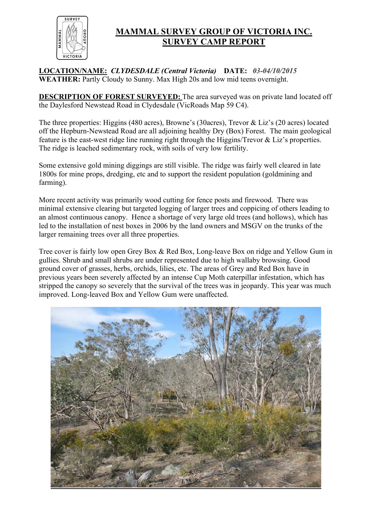

### **MAMMAL SURVEY GROUP OF VICTORIA INC. SURVEY CAMP REPORT**

**LOCATION/NAME:** *CLYDESDALE (Central Victoria)* **DATE:** *03-04/10/2015* **WEATHER:** Partly Cloudy to Sunny. Max High 20s and low mid teens overnight.

**DESCRIPTION OF FOREST SURVEYED:** The area surveyed was on private land located off the Daylesford Newstead Road in Clydesdale (VicRoads Map 59 C4).

The three properties: Higgins (480 acres), Browne's (30acres), Trevor & Liz's (20 acres) located off the Hepburn-Newstead Road are all adjoining healthy Dry (Box) Forest. The main geological feature is the east-west ridge line running right through the Higgins/Trevor & Liz's properties. The ridge is leached sedimentary rock, with soils of very low fertility.

Some extensive gold mining diggings are still visible. The ridge was fairly well cleared in late 1800s for mine props, dredging, etc and to support the resident population (goldmining and farming).

More recent activity was primarily wood cutting for fence posts and firewood. There was minimal extensive clearing but targeted logging of larger trees and coppicing of others leading to an almost continuous canopy. Hence a shortage of very large old trees (and hollows), which has led to the installation of nest boxes in 2006 by the land owners and MSGV on the trunks of the larger remaining trees over all three properties.

Tree cover is fairly low open Grey Box & Red Box, Long-leave Box on ridge and Yellow Gum in gullies. Shrub and small shrubs are under represented due to high wallaby browsing. Good ground cover of grasses, herbs, orchids, lilies, etc. The areas of Grey and Red Box have in previous years been severely affected by an intense Cup Moth caterpillar infestation, which has stripped the canopy so severely that the survival of the trees was in jeopardy. This year was much improved. Long-leaved Box and Yellow Gum were unaffected.

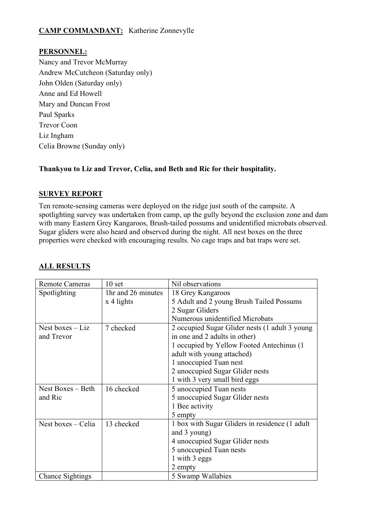### **CAMP COMMANDANT:** Katherine Zonnevylle

### **PERSONNEL:**

Nancy and Trevor McMurray Andrew McCutcheon (Saturday only) John Olden (Saturday only) Anne and Ed Howell Mary and Duncan Frost Paul Sparks Trevor Coon Liz Ingham Celia Browne (Sunday only)

### **Thankyou to Liz and Trevor, Celia, and Beth and Ric for their hospitality.**

#### **SURVEY REPORT**

Ten remote-sensing cameras were deployed on the ridge just south of the campsite. A spotlighting survey was undertaken from camp, up the gully beyond the exclusion zone and dam with many Eastern Grey Kangaroos, Brush-tailed possums and unidentified microbats observed. Sugar gliders were also heard and observed during the night. All nest boxes on the three properties were checked with encouraging results. No cage traps and bat traps were set.

| <b>Remote Cameras</b>   | 10 <sub>set</sub>  | Nil observations                               |
|-------------------------|--------------------|------------------------------------------------|
| Spotlighting            | 1hr and 26 minutes | 18 Grey Kangaroos                              |
|                         | x 4 lights         | 5 Adult and 2 young Brush Tailed Possums       |
|                         |                    | 2 Sugar Gliders                                |
|                         |                    | Numerous unidentified Microbats                |
| Nest boxes $-Liz$       | 7 checked          | 2 occupied Sugar Glider nests (1 adult 3 young |
| and Trevor              |                    | in one and 2 adults in other)                  |
|                         |                    | 1 occupied by Yellow Footed Antechinus (1)     |
|                         |                    | adult with young attached)                     |
|                         |                    | 1 unoccupied Tuan nest                         |
|                         |                    | 2 unoccupied Sugar Glider nests                |
|                         |                    | 1 with 3 very small bird eggs                  |
| Nest Boxes – Beth       | 16 checked         | 5 unoccupied Tuan nests                        |
| and Ric                 |                    | 5 unoccupied Sugar Glider nests                |
|                         |                    | 1 Bee activity                                 |
|                         |                    | 5 empty                                        |
| Nest boxes – Celia      | 13 checked         | 1 box with Sugar Gliders in residence (1 adult |
|                         |                    | and 3 young)                                   |
|                         |                    | 4 unoccupied Sugar Glider nests                |
|                         |                    | 5 unoccupied Tuan nests                        |
|                         |                    | 1 with 3 eggs                                  |
|                         |                    | 2 empty                                        |
| <b>Chance Sightings</b> |                    | 5 Swamp Wallabies                              |

### **ALL RESULTS**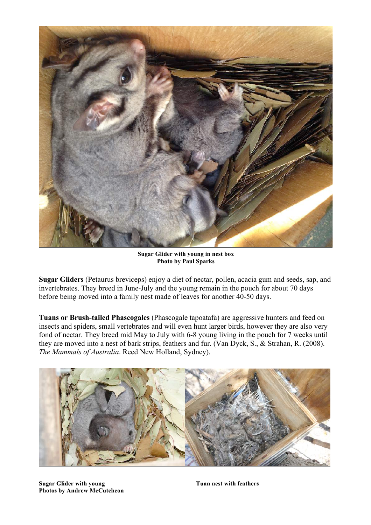

**Sugar Glider with young in nest box Photo by Paul Sparks**

**Sugar Gliders** (Petaurus breviceps) enjoy a diet of nectar, pollen, acacia gum and seeds, sap, and invertebrates. They breed in June-July and the young remain in the pouch for about 70 days before being moved into a family nest made of leaves for another 40-50 days.

**Tuans or Brush-tailed Phascogales** (Phascogale tapoatafa) are aggressive hunters and feed on insects and spiders, small vertebrates and will even hunt larger birds, however they are also very fond of nectar. They breed mid May to July with 6-8 young living in the pouch for 7 weeks until they are moved into a nest of bark strips, feathers and fur. (Van Dyck, S., & Strahan, R. (2008). *The Mammals of Australia*. Reed New Holland, Sydney).



**Sugar Glider with young <b>Tuan nest with feathers Tuan nest with feathers Photos by Andrew McCutcheon**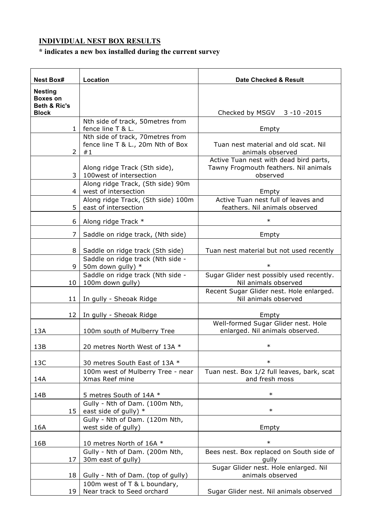# **INDIVIDUAL NEST BOX RESULTS**

# **\* indicates a new box installed during the current survey**

| <b>Nest Box#</b>                                  | Location                                                                    | Date Checked & Result                                                                       |
|---------------------------------------------------|-----------------------------------------------------------------------------|---------------------------------------------------------------------------------------------|
| <b>Nesting</b><br><b>Boxes on</b><br>Beth & Ric's |                                                                             |                                                                                             |
| <b>Block</b>                                      |                                                                             | Checked by MSGV 3-10-2015                                                                   |
| 1                                                 | Nth side of track, 50metres from<br>fence line T & L.                       | Empty                                                                                       |
| 2                                                 | Nth side of track, 70metres from<br>fence line T & L., 20m Nth of Box<br>#1 | Tuan nest material and old scat. Nil<br>animals observed                                    |
| 3                                                 | Along ridge Track (Sth side),<br>100west of intersection                    | Active Tuan nest with dead bird parts,<br>Tawny Frogmouth feathers. Nil animals<br>observed |
| 4                                                 | Along ridge Track, (Sth side) 90m<br>west of intersection                   | Empty                                                                                       |
| 5                                                 | Along ridge Track, (Sth side) 100m<br>east of intersection                  | Active Tuan nest full of leaves and<br>feathers. Nil animals observed                       |
| 6                                                 | Along ridge Track *                                                         | $\ast$                                                                                      |
| 7                                                 | Saddle on ridge track, (Nth side)                                           | Empty                                                                                       |
| 8                                                 | Saddle on ridge track (Sth side)                                            | Tuan nest material but not used recently                                                    |
| 9                                                 | Saddle on ridge track (Nth side -<br>50m down gully) *                      | $\ast$                                                                                      |
| 10                                                | Saddle on ridge track (Nth side -<br>100m down gully)                       | Sugar Glider nest possibly used recently.<br>Nil animals observed                           |
| 11                                                | In gully - Sheoak Ridge                                                     | Recent Sugar Glider nest. Hole enlarged.<br>Nil animals observed                            |
| 12                                                | In gully - Sheoak Ridge                                                     | Empty                                                                                       |
| 13A                                               | 100m south of Mulberry Tree                                                 | Well-formed Sugar Glider nest. Hole<br>enlarged. Nil animals observed.                      |
| 13B                                               | 20 metres North West of 13A *                                               | $\ast$                                                                                      |
| 13C                                               | 30 metres South East of 13A *                                               | $\ast$                                                                                      |
| 14A                                               | 100m west of Mulberry Tree - near<br>Xmas Reef mine                         | Tuan nest. Box 1/2 full leaves, bark, scat<br>and fresh moss                                |
| 14B                                               | 5 metres South of 14A *                                                     | $\ast$                                                                                      |
| 15                                                | Gully - Nth of Dam. (100m Nth,<br>east side of gully) *                     | $\ast$                                                                                      |
| 16A                                               | Gully - Nth of Dam. (120m Nth,<br>west side of gully)                       | Empty                                                                                       |
| 16B                                               | 10 metres North of 16A *                                                    | $\ast$                                                                                      |
|                                                   | Gully - Nth of Dam. (200m Nth,<br>30m east of gully)                        | Bees nest. Box replaced on South side of<br>gully                                           |
| 17<br>18                                          | Gully - Nth of Dam. (top of gully)                                          | Sugar Glider nest. Hole enlarged. Nil<br>animals observed                                   |
| 19                                                | 100m west of T & L boundary,<br>Near track to Seed orchard                  | Sugar Glider nest. Nil animals observed                                                     |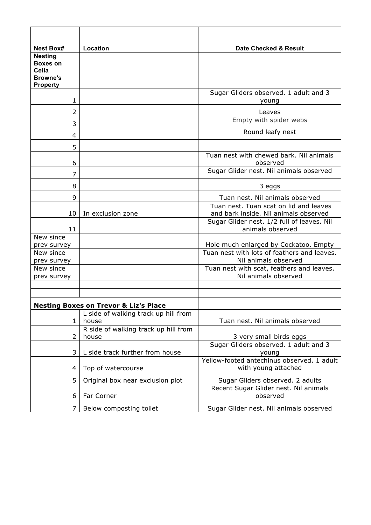| <b>Nest Box#</b>                                                                 | Location                             | Date Checked & Result                                                           |  |  |
|----------------------------------------------------------------------------------|--------------------------------------|---------------------------------------------------------------------------------|--|--|
| <b>Nesting</b><br><b>Boxes on</b><br>Celia<br><b>Browne's</b><br><b>Property</b> |                                      |                                                                                 |  |  |
| 1                                                                                |                                      | Sugar Gliders observed. 1 adult and 3<br>young                                  |  |  |
| $\overline{2}$                                                                   |                                      | Leaves                                                                          |  |  |
| 3                                                                                |                                      | Empty with spider webs                                                          |  |  |
| $\overline{4}$                                                                   |                                      | Round leafy nest                                                                |  |  |
| 5                                                                                |                                      |                                                                                 |  |  |
| 6                                                                                |                                      | Tuan nest with chewed bark. Nil animals<br>observed                             |  |  |
| 7                                                                                |                                      | Sugar Glider nest. Nil animals observed                                         |  |  |
| 8                                                                                |                                      | 3 eggs                                                                          |  |  |
| 9                                                                                |                                      | Tuan nest. Nil animals observed                                                 |  |  |
| 10                                                                               | In exclusion zone                    | Tuan nest. Tuan scat on lid and leaves<br>and bark inside. Nil animals observed |  |  |
| 11                                                                               |                                      | Sugar Glider nest. 1/2 full of leaves. Nil<br>animals observed                  |  |  |
| New since                                                                        |                                      |                                                                                 |  |  |
| prev survey                                                                      |                                      | Hole much enlarged by Cockatoo. Empty                                           |  |  |
| New since<br>prev survey                                                         |                                      | Tuan nest with lots of feathers and leaves.<br>Nil animals observed             |  |  |
| New since                                                                        |                                      | Tuan nest with scat, feathers and leaves.                                       |  |  |
| prev survey                                                                      |                                      | Nil animals observed                                                            |  |  |
|                                                                                  |                                      |                                                                                 |  |  |
|                                                                                  |                                      |                                                                                 |  |  |
| Nesting Boxes on Trevor & Liz's Place                                            |                                      |                                                                                 |  |  |
|                                                                                  | L side of walking track up hill from |                                                                                 |  |  |
| 1                                                                                | house                                | Tuan nest. Nil animals observed                                                 |  |  |
|                                                                                  | R side of walking track up hill from |                                                                                 |  |  |
| 2                                                                                | house                                | 3 very small birds eggs<br>Sugar Gliders observed. 1 adult and 3                |  |  |
| 3                                                                                | L side track further from house      | young                                                                           |  |  |
| 4                                                                                | Top of watercourse                   | Yellow-footed antechinus observed. 1 adult<br>with young attached               |  |  |
| 5                                                                                | Original box near exclusion plot     | Sugar Gliders observed. 2 adults                                                |  |  |
| 6                                                                                | Far Corner                           | Recent Sugar Glider nest. Nil animals<br>observed                               |  |  |
| 7                                                                                | Below composting toilet              | Sugar Glider nest. Nil animals observed                                         |  |  |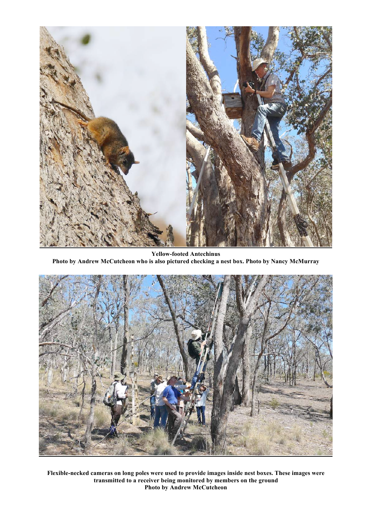

**Yellow-footed Antechinus Photo by Andrew McCutcheon who is also pictured checking a nest box. Photo by Nancy McMurray**



**Flexible-necked cameras on long poles were used to provide images inside nest boxes. These images were transmitted to a receiver being monitored by members on the ground Photo by Andrew McCutcheon**